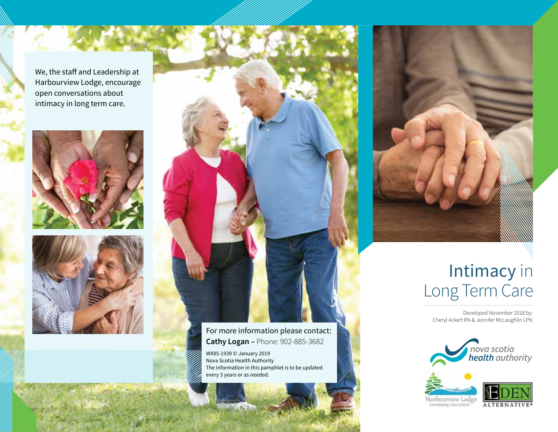We, the staff and Leadership at Harbourview Lodge, encourage open conversations about intimacy in long term care.







For more information please contact: **Cathy Logan –** Phone: 902-885-3682

WX85-1939 © January 2019 Nova Scotia Health Authority The information in this pamphlet is to be updated every 3 years or as needed.



## Intimacy in Long Term Care

Developed November 2018 by: Cheryl Ackert RN & Jennifer McLaughlin LPN